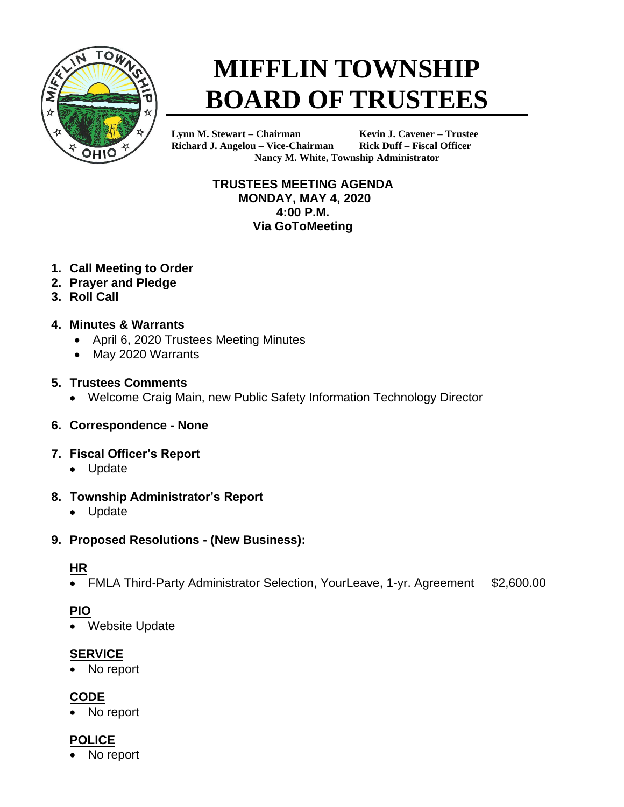

# **MIFFLIN TOWNSHIP BOARD OF TRUSTEES**

**Lynn M. Stewart – Chairman Kevin J. Cavener – Trustee Richard J. Angelou – Vice-Chairman Rick Duff – Fiscal Officer Nancy M. White, Township Administrator**

> **TRUSTEES MEETING AGENDA MONDAY, MAY 4, 2020 4:00 P.M. Via GoToMeeting**

- **1. Call Meeting to Order**
- **2. Prayer and Pledge**
- **3. Roll Call**
- **4. Minutes & Warrants**
	- April 6, 2020 Trustees Meeting Minutes
	- May 2020 Warrants

#### **5. Trustees Comments**

- Welcome Craig Main, new Public Safety Information Technology Director
- **6. Correspondence - None**
- **7. Fiscal Officer's Report**
	- Update

#### **8. Township Administrator's Report**

• Update

#### **9. Proposed Resolutions - (New Business):**

#### **HR**

• FMLA Third-Party Administrator Selection, YourLeave, 1-yr. Agreement \$2,600.00

## **PIO**

Website Update

#### **SERVICE**

No report

## **CODE**

• No report

## **POLICE**

No report